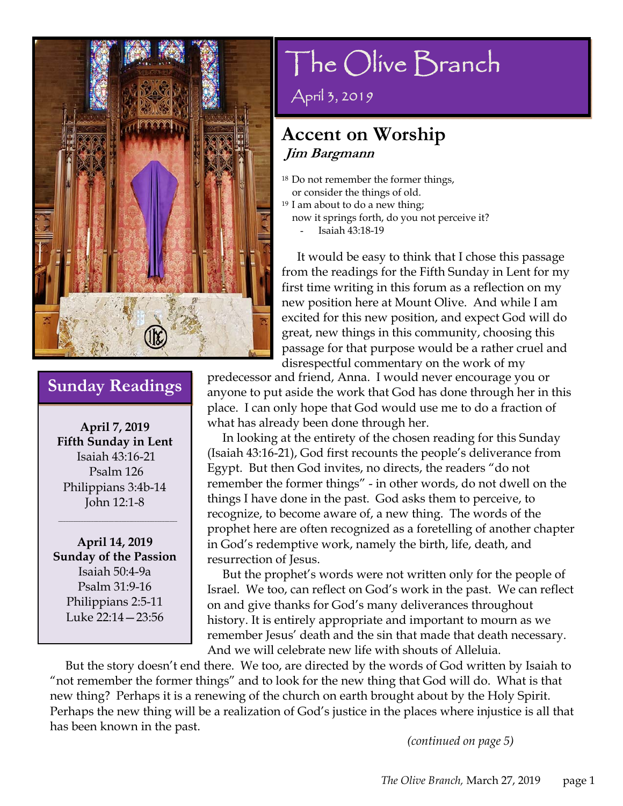

**April 7, 2019 Fifth Sunday in Lent**  Isaiah 43:16-21 Psalm 126 Philippians 3:4b-14 John 12:1-8

 $\overline{\phantom{a}}$  , and the set of the set of the set of the set of the set of the set of the set of the set of the set of the set of the set of the set of the set of the set of the set of the set of the set of the set of the s

**April 14, 2019 Sunday of the Passion**  Isaiah 50:4-9a Psalm 31:9-16 Philippians 2:5-11 Luke 22:14—23:56

# The Olive Branch

April 3, 2019

#### **Accent on Worship Jim Bargmann**

- 18 Do not remember the former things, or consider the things of old.
- $19$  I am about to do a new thing;
	- now it springs forth, do you not perceive it? Isaiah 43:18-19

 It would be easy to think that I chose this passage from the readings for the Fifth Sunday in Lent for my first time writing in this forum as a reflection on my new position here at Mount Olive. And while I am excited for this new position, and expect God will do great, new things in this community, choosing this passage for that purpose would be a rather cruel and disrespectful commentary on the work of my

**Sunday Readings** Predecessor and friend, Anna. I would never encourage you or anyone to put aside the work that God has done through her in this place. I can only hope that God would use me to do a fraction of what has already been done through her.

> In looking at the entirety of the chosen reading for this Sunday (Isaiah 43:16-21), God first recounts the people's deliverance from Egypt. But then God invites, no directs, the readers "do not remember the former things" - in other words, do not dwell on the things I have done in the past. God asks them to perceive, to recognize, to become aware of, a new thing. The words of the prophet here are often recognized as a foretelling of another chapter in God's redemptive work, namely the birth, life, death, and resurrection of Jesus.

> But the prophet's words were not written only for the people of Israel. We too, can reflect on God's work in the past. We can reflect on and give thanks for God's many deliverances throughout history. It is entirely appropriate and important to mourn as we remember Jesus' death and the sin that made that death necessary. And we will celebrate new life with shouts of Alleluia.

 But the story doesn't end there. We too, are directed by the words of God written by Isaiah to "not remember the former things" and to look for the new thing that God will do. What is that new thing? Perhaps it is a renewing of the church on earth brought about by the Holy Spirit. Perhaps the new thing will be a realization of God's justice in the places where injustice is all that has been known in the past.

*(continued on page 5)*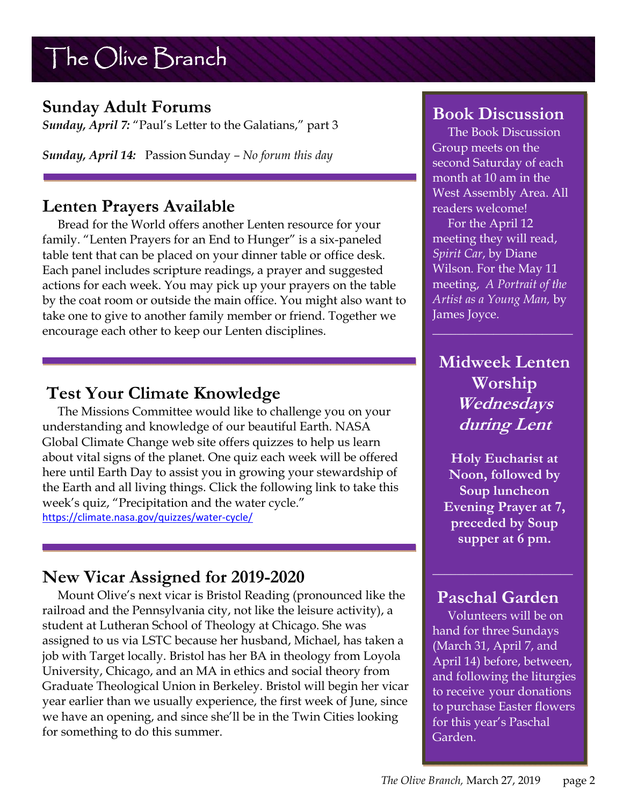#### **Sunday Adult Forums**

*Sunday, April 7:* "Paul's Letter to the Galatians," part 3

*Sunday, April 14:* Passion Sunday *– No forum this day*

#### **Lenten Prayers Available**

 Bread for the World offers another Lenten resource for your family. "Lenten Prayers for an End to Hunger" is a six-paneled table tent that can be placed on your dinner table or office desk. Each panel includes scripture readings, a prayer and suggested actions for each week. You may pick up your prayers on the table by the coat room or outside the main office. You might also want to take one to give to another family member or friend. Together we encourage each other to keep our Lenten disciplines.

#### **Test Your Climate Knowledge**

 The Missions Committee would like to challenge you on your understanding and knowledge of our beautiful Earth. NASA Global Climate Change web site offers quizzes to help us learn about vital signs of the planet. One quiz each week will be offered here until Earth Day to assist you in growing your stewardship of the Earth and all living things. Click the following link to take this week's quiz, "Precipitation and the water cycle." https://climate.nasa.gov/quizzes/water-cycle/

### **New Vicar Assigned for 2019-2020**

 Mount Olive's next vicar is Bristol Reading (pronounced like the railroad and the Pennsylvania city, not like the leisure activity), a student at Lutheran School of Theology at Chicago. She was assigned to us via LSTC because her husband, Michael, has taken a job with Target locally. Bristol has her BA in theology from Loyola University, Chicago, and an MA in ethics and social theory from Graduate Theological Union in Berkeley. Bristol will begin her vicar year earlier than we usually experience, the first week of June, since we have an opening, and since she'll be in the Twin Cities looking for something to do this summer.

#### **Book Discussion**

 The Book Discussion Group meets on the second Saturday of each month at 10 am in the West Assembly Area. All readers welcome!

 For the April 12 meeting they will read, *Spirit Car*, by Diane Wilson. For the May 11 meeting, *A Portrait of the Artist as a Young Man,* by James Joyce.

#### **Midweek Lenten Worship Wednesdays during Lent**

**Holy Eucharist at Noon, followed by Soup luncheon Evening Prayer at 7, preceded by Soup supper at 6 pm.**

#### **Paschal Garden**

 Volunteers will be on hand for three Sundays (March 31, April 7, and April 14) before, between, and following the liturgies to receive your donations to purchase Easter flowers for this year's Paschal Garden.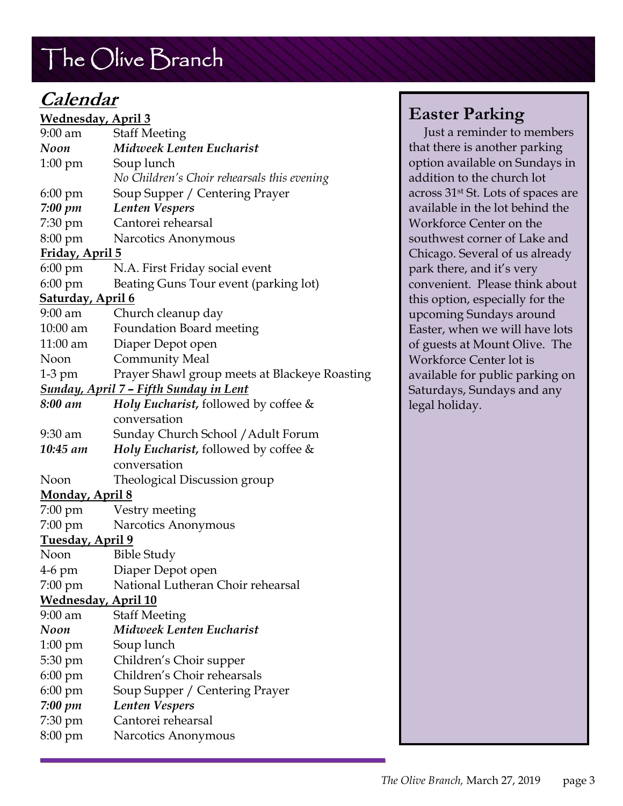# **Calendar**

| <u> Wednesday, April 3</u>                     |                                               |
|------------------------------------------------|-----------------------------------------------|
| $9:00$ am                                      | <b>Staff Meeting</b>                          |
| Noon                                           | <b>Midweek Lenten Eucharist</b>               |
| $1:00 \text{ pm}$                              | Soup lunch                                    |
|                                                | No Children's Choir rehearsals this evening   |
| $6:00 \text{ pm}$                              | Soup Supper / Centering Prayer                |
| 7:00 pm                                        | <b>Lenten Vespers</b>                         |
| 7:30 pm                                        | Cantorei rehearsal                            |
| 8:00 pm                                        | Narcotics Anonymous                           |
| Friday, April 5                                |                                               |
| $6:00 \text{ pm}$                              | N.A. First Friday social event                |
| $6:00 \text{ pm}$                              | Beating Guns Tour event (parking lot)         |
| <u>Saturday, April 6</u>                       |                                               |
| 9:00 am                                        | Church cleanup day                            |
| $10:00$ am                                     | <b>Foundation Board meeting</b>               |
| $11:00$ am                                     | Diaper Depot open                             |
| Noon                                           | <b>Community Meal</b>                         |
| $1-3$ pm                                       | Prayer Shawl group meets at Blackeye Roasting |
| <u> Sunday, April 7 – Fifth Sunday in Lent</u> |                                               |
| 8:00 am                                        | Holy Eucharist, followed by coffee &          |
|                                                | conversation                                  |
| $9:30$ am                                      | Sunday Church School / Adult Forum            |
| 10:45 am                                       | Holy Eucharist, followed by coffee &          |
|                                                | conversation                                  |
| Noon                                           | Theological Discussion group                  |
| <u>Monday, April 8</u>                         |                                               |
| $7:00 \text{ pm}$                              | Vestry meeting                                |
| $7:00 \text{ pm}$                              | Narcotics Anonymous                           |
| <u>Tuesday, April 9</u>                        |                                               |
| Noon                                           | <b>Bible Study</b>                            |
| 4-6 pm                                         | Diaper Depot open                             |
| 7:00 pm                                        | National Lutheran Choir rehearsal             |
| <b>Wednesday, April 10</b>                     |                                               |
| $9:00$ am                                      | <b>Staff Meeting</b>                          |
| Noon                                           | Midweek Lenten Eucharist                      |
| $1:00 \text{ pm}$                              | Soup lunch                                    |
| 5:30 pm                                        | Children's Choir supper                       |
| $6:00 \text{ pm}$                              | Children's Choir rehearsals                   |
| 6:00 pm                                        | Soup Supper / Centering Prayer                |
| $7:00 \; pm$                                   | <b>Lenten Vespers</b>                         |
| $7:30 \text{ pm}$                              | Cantorei rehearsal                            |
| 8:00 pm                                        | Narcotics Anonymous                           |

#### **Easter Parking**

 Just a reminder to members that there is another parking option available on Sundays in addition to the church lot across 31st St. Lots of spaces are available in the lot behind the Workforce Center on the southwest corner of Lake and Chicago. Several of us already park there, and it's very convenient. Please think about this option, especially for the upcoming Sundays around Easter, when we will have lots of guests at Mount Olive. The Workforce Center lot is available for public parking on Saturdays, Sundays and any legal holiday.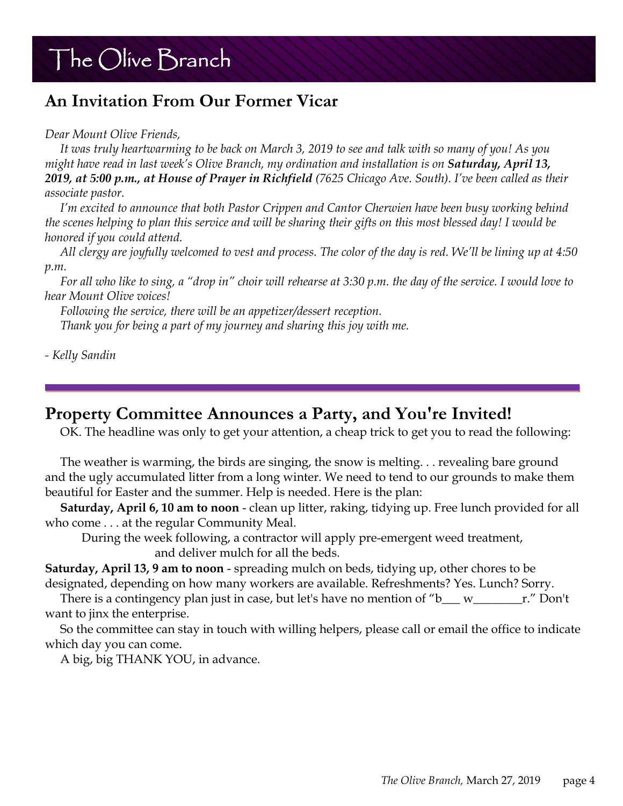### **An Invitation From Our Former Vicar**

*Dear Mount Olive Friends,* 

 *It was truly heartwarming to be back on March 3, 2019 to see and talk with so many of you! As you might have read in last week's Olive Branch, my ordination and installation is on Saturday, April 13, 2019, at 5:00 p.m., at House of Prayer in Richfield (7625 Chicago Ave. South). I've been called as their associate pastor.* 

 *I'm excited to announce that both Pastor Crippen and Cantor Cherwien have been busy working behind the scenes helping to plan this service and will be sharing their gifts on this most blessed day! I would be honored if you could attend.* 

 *All clergy are joyfully welcomed to vest and process. The color of the day is red. We'll be lining up at 4:50 p.m.* 

 *For all who like to sing, a "drop in" choir will rehearse at 3:30 p.m. the day of the service. I would love to hear Mount Olive voices!* 

 *Following the service, there will be an appetizer/dessert reception. Thank you for being a part of my journey and sharing this joy with me.* 

*- Kelly Sandin* 

#### **Property Committee Announces a Party, and You're Invited!**

OK. The headline was only to get your attention, a cheap trick to get you to read the following:

 The weather is warming, the birds are singing, the snow is melting. . . revealing bare ground and the ugly accumulated litter from a long winter. We need to tend to our grounds to make them beautiful for Easter and the summer. Help is needed. Here is the plan:

 **Saturday, April 6, 10 am to noon** - clean up litter, raking, tidying up. Free lunch provided for all who come . . . at the regular Community Meal.

 During the week following, a contractor will apply pre-emergent weed treatment, and deliver mulch for all the beds.

**Saturday, April 13, 9 am to noon** - spreading mulch on beds, tidying up, other chores to be designated, depending on how many workers are available. Refreshments? Yes. Lunch? Sorry.

There is a contingency plan just in case, but let's have no mention of " $b$ <sub>\_\_</sub> w<sub>\_\_\_\_</sub>\_\_\_\_\_\_\_\_\_r." Don't want to jinx the enterprise.

 So the committee can stay in touch with willing helpers, please call or email the office to indicate which day you can come.

A big, big THANK YOU, in advance.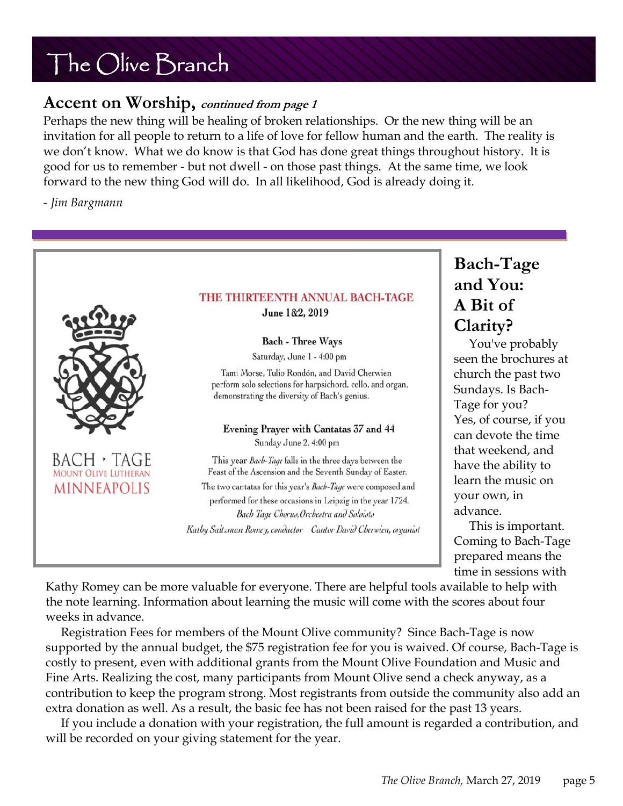#### **Accent on Worship, continued from page 1**

Perhaps the new thing will be healing of broken relationships. Or the new thing will be an invitation for all people to return to a life of love for fellow human and the earth. The reality is we don't know. What we do know is that God has done great things throughout history. It is good for us to remember - but not dwell - on those past things. At the same time, we look forward to the new thing God will do. In all likelihood, God is already doing it.

*- Jim Bargmann* 



**Bach-Tage and You: A Bit of Clarity?** 

 You've probably seen the brochures at church the past two Sundays. Is Bach-Tage for you? Yes, of course, if you can devote the time that weekend, and have the ability to learn the music on your own, in

 This is important. Coming to Bach-Tage prepared means the time in sessions with

Kathy Romey can be more valuable for everyone. There are helpful tools available to help with the note learning. Information about learning the music will come with the scores about four weeks in advance.

 Registration Fees for members of the Mount Olive community? Since Bach-Tage is now supported by the annual budget, the \$75 registration fee for you is waived. Of course, Bach-Tage is costly to present, even with additional grants from the Mount Olive Foundation and Music and Fine Arts. Realizing the cost, many participants from Mount Olive send a check anyway, as a contribution to keep the program strong. Most registrants from outside the community also add an extra donation as well. As a result, the basic fee has not been raised for the past 13 years.

 If you include a donation with your registration, the full amount is regarded a contribution, and will be recorded on your giving statement for the year.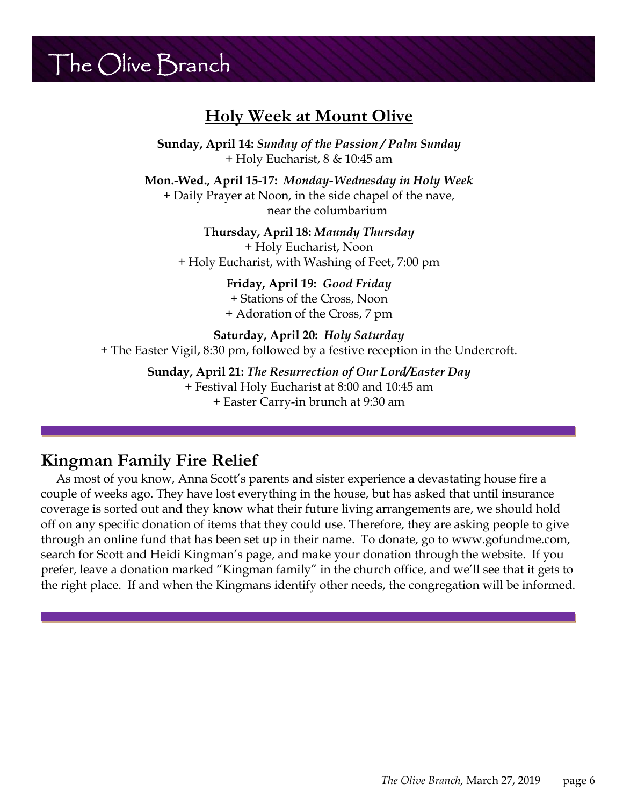#### **Holy Week at Mount Olive**

**Sunday, April 14:** *Sunday of the Passion / Palm Sunday* + Holy Eucharist, 8 & 10:45 am

**Mon.-Wed., April 15-17:** *Monday-Wednesday in Holy Week*  + Daily Prayer at Noon, in the side chapel of the nave, near the columbarium

> **Thursday, April 18:** *Maundy Thursday*  + Holy Eucharist, Noon + Holy Eucharist, with Washing of Feet, 7:00 pm

> > **Friday, April 19:** *Good Friday* + Stations of the Cross, Noon + Adoration of the Cross, 7 pm

**Saturday, April 20:** *Holy Saturday* + The Easter Vigil, 8:30 pm, followed by a festive reception in the Undercroft.

**Sunday, April 21:** *The Resurrection of Our Lord/Easter Day*

+ Festival Holy Eucharist at 8:00 and 10:45 am + Easter Carry-in brunch at 9:30 am

#### **Kingman Family Fire Relief**

 As most of you know, Anna Scott's parents and sister experience a devastating house fire a couple of weeks ago. They have lost everything in the house, but has asked that until insurance coverage is sorted out and they know what their future living arrangements are, we should hold off on any specific donation of items that they could use. Therefore, they are asking people to give through an online fund that has been set up in their name. To donate, go to www.gofundme.com, search for Scott and Heidi Kingman's page, and make your donation through the website. If you prefer, leave a donation marked "Kingman family" in the church office, and we'll see that it gets to the right place. If and when the Kingmans identify other needs, the congregation will be informed.